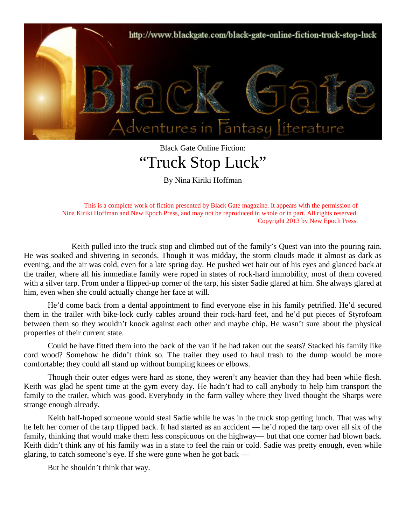

## Black Gate Online Fiction: "Truck Stop Luck"

By Nina Kiriki Hoffman

This is a complete work of fiction presented by Black Gate magazine. It appears with the permission of Nina Kiriki Hoffman and New Epoch Press, and may not be reproduced in whole or in part. All rights reserved. Copyright 2013 by New Epoch Press.

Keith pulled into the truck stop and climbed out of the family's Quest van into the pouring rain. He was soaked and shivering in seconds. Though it was midday, the storm clouds made it almost as dark as evening, and the air was cold, even for a late spring day. He pushed wet hair out of his eyes and glanced back at the trailer, where all his immediate family were roped in states of rock-hard immobility, most of them covered with a silver tarp. From under a flipped-up corner of the tarp, his sister Sadie glared at him. She always glared at him, even when she could actually change her face at will.

He'd come back from a dental appointment to find everyone else in his family petrified. He'd secured them in the trailer with bike-lock curly cables around their rock-hard feet, and he'd put pieces of Styrofoam between them so they wouldn't knock against each other and maybe chip. He wasn't sure about the physical properties of their current state.

Could he have fitted them into the back of the van if he had taken out the seats? Stacked his family like cord wood? Somehow he didn't think so. The trailer they used to haul trash to the dump would be more comfortable; they could all stand up without bumping knees or elbows.

Though their outer edges were hard as stone, they weren't any heavier than they had been while flesh. Keith was glad he spent time at the gym every day. He hadn't had to call anybody to help him transport the family to the trailer, which was good. Everybody in the farm valley where they lived thought the Sharps were strange enough already.

Keith half-hoped someone would steal Sadie while he was in the truck stop getting lunch. That was why he left her corner of the tarp flipped back. It had started as an accident — he'd roped the tarp over all six of the family, thinking that would make them less conspicuous on the highway— but that one corner had blown back. Keith didn't think any of his family was in a state to feel the rain or cold. Sadie was pretty enough, even while glaring, to catch someone's eye. If she were gone when he got back —

But he shouldn't think that way.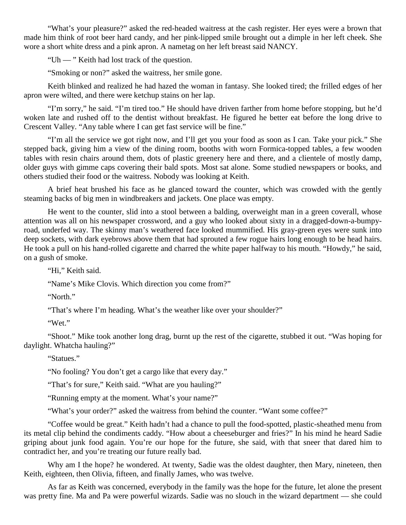"What's your pleasure?" asked the red-headed waitress at the cash register. Her eyes were a brown that made him think of root beer hard candy, and her pink-lipped smile brought out a dimple in her left cheek. She wore a short white dress and a pink apron. A nametag on her left breast said NANCY.

"Uh — " Keith had lost track of the question.

"Smoking or non?" asked the waitress, her smile gone.

Keith blinked and realized he had hazed the woman in fantasy. She looked tired; the frilled edges of her apron were wilted, and there were ketchup stains on her lap.

"I'm sorry," he said. "I'm tired too." He should have driven farther from home before stopping, but he'd woken late and rushed off to the dentist without breakfast. He figured he better eat before the long drive to Crescent Valley. "Any table where I can get fast service will be fine."

"I'm all the service we got right now, and I'll get you your food as soon as I can. Take your pick." She stepped back, giving him a view of the dining room, booths with worn Formica-topped tables, a few wooden tables with resin chairs around them, dots of plastic greenery here and there, and a clientele of mostly damp, older guys with gimme caps covering their bald spots. Most sat alone. Some studied newspapers or books, and others studied their food or the waitress. Nobody was looking at Keith.

A brief heat brushed his face as he glanced toward the counter, which was crowded with the gently steaming backs of big men in windbreakers and jackets. One place was empty.

He went to the counter, slid into a stool between a balding, overweight man in a green coverall, whose attention was all on his newspaper crossword, and a guy who looked about sixty in a dragged-down-a-bumpyroad, underfed way. The skinny man's weathered face looked mummified. His gray-green eyes were sunk into deep sockets, with dark eyebrows above them that had sprouted a few rogue hairs long enough to be head hairs. He took a pull on his hand-rolled cigarette and charred the white paper halfway to his mouth. "Howdy," he said, on a gush of smoke.

"Hi," Keith said.

"Name's Mike Clovis. Which direction you come from?"

"North."

"That's where I'm heading. What's the weather like over your shoulder?"

"Wet."

"Shoot." Mike took another long drag, burnt up the rest of the cigarette, stubbed it out. "Was hoping for daylight. Whatcha hauling?"

"Statues."

"No fooling? You don't get a cargo like that every day."

"That's for sure," Keith said. "What are you hauling?"

"Running empty at the moment. What's your name?"

"What's your order?" asked the waitress from behind the counter. "Want some coffee?"

"Coffee would be great." Keith hadn't had a chance to pull the food-spotted, plastic-sheathed menu from its metal clip behind the condiments caddy. "How about a cheeseburger and fries?" In his mind he heard Sadie griping about junk food again. You're our hope for the future, she said, with that sneer that dared him to contradict her, and you're treating our future really bad.

Why am I the hope? he wondered. At twenty, Sadie was the oldest daughter, then Mary, nineteen, then Keith, eighteen, then Olivia, fifteen, and finally James, who was twelve.

As far as Keith was concerned, everybody in the family was the hope for the future, let alone the present was pretty fine. Ma and Pa were powerful wizards. Sadie was no slouch in the wizard department — she could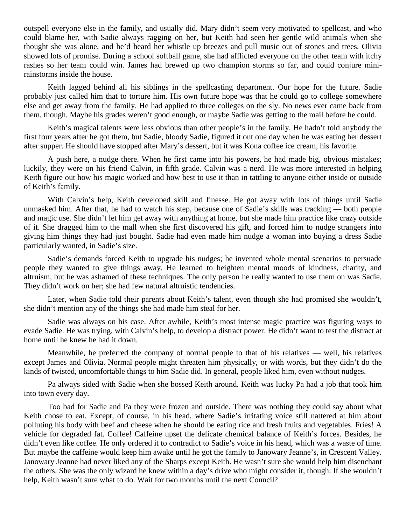outspell everyone else in the family, and usually did. Mary didn't seem very motivated to spellcast, and who could blame her, with Sadie always ragging on her, but Keith had seen her gentle wild animals when she thought she was alone, and he'd heard her whistle up breezes and pull music out of stones and trees. Olivia showed lots of promise. During a school softball game, she had afflicted everyone on the other team with itchy rashes so her team could win. James had brewed up two champion storms so far, and could conjure minirainstorms inside the house.

Keith lagged behind all his siblings in the spellcasting department. Our hope for the future. Sadie probably just called him that to torture him. His own future hope was that he could go to college somewhere else and get away from the family. He had applied to three colleges on the sly. No news ever came back from them, though. Maybe his grades weren't good enough, or maybe Sadie was getting to the mail before he could.

Keith's magical talents were less obvious than other people's in the family. He hadn't told anybody the first four years after he got them, but Sadie, bloody Sadie, figured it out one day when he was eating her dessert after supper. He should have stopped after Mary's dessert, but it was Kona coffee ice cream, his favorite.

A push here, a nudge there. When he first came into his powers, he had made big, obvious mistakes; luckily, they were on his friend Calvin, in fifth grade. Calvin was a nerd. He was more interested in helping Keith figure out how his magic worked and how best to use it than in tattling to anyone either inside or outside of Keith's family.

With Calvin's help, Keith developed skill and finesse. He got away with lots of things until Sadie unmasked him. After that, he had to watch his step, because one of Sadie's skills was tracking — both people and magic use. She didn't let him get away with anything at home, but she made him practice like crazy outside of it. She dragged him to the mall when she first discovered his gift, and forced him to nudge strangers into giving him things they had just bought. Sadie had even made him nudge a woman into buying a dress Sadie particularly wanted, in Sadie's size.

Sadie's demands forced Keith to upgrade his nudges; he invented whole mental scenarios to persuade people they wanted to give things away. He learned to heighten mental moods of kindness, charity, and altruism, but he was ashamed of these techniques. The only person he really wanted to use them on was Sadie. They didn't work on her; she had few natural altruistic tendencies.

Later, when Sadie told their parents about Keith's talent, even though she had promised she wouldn't, she didn't mention any of the things she had made him steal for her.

Sadie was always on his case. After awhile, Keith's most intense magic practice was figuring ways to evade Sadie. He was trying, with Calvin's help, to develop a distract power. He didn't want to test the distract at home until he knew he had it down.

Meanwhile, he preferred the company of normal people to that of his relatives — well, his relatives except James and Olivia. Normal people might threaten him physically, or with words, but they didn't do the kinds of twisted, uncomfortable things to him Sadie did. In general, people liked him, even without nudges.

Pa always sided with Sadie when she bossed Keith around. Keith was lucky Pa had a job that took him into town every day.

Too bad for Sadie and Pa they were frozen and outside. There was nothing they could say about what Keith chose to eat. Except, of course, in his head, where Sadie's irritating voice still nattered at him about polluting his body with beef and cheese when he should be eating rice and fresh fruits and vegetables. Fries! A vehicle for degraded fat. Coffee! Caffeine upset the delicate chemical balance of Keith's forces. Besides, he didn't even like coffee. He only ordered it to contradict to Sadie's voice in his head, which was a waste of time. But maybe the caffeine would keep him awake until he got the family to Janowary Jeanne's, in Crescent Valley. Janowary Jeanne had never liked any of the Sharps except Keith. He wasn't sure she would help him disenchant the others. She was the only wizard he knew within a day's drive who might consider it, though. If she wouldn't help, Keith wasn't sure what to do. Wait for two months until the next Council?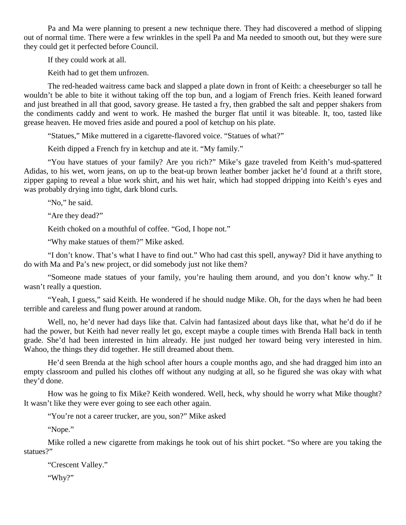Pa and Ma were planning to present a new technique there. They had discovered a method of slipping out of normal time. There were a few wrinkles in the spell Pa and Ma needed to smooth out, but they were sure they could get it perfected before Council.

If they could work at all.

Keith had to get them unfrozen.

The red-headed waitress came back and slapped a plate down in front of Keith: a cheeseburger so tall he wouldn't be able to bite it without taking off the top bun, and a logjam of French fries. Keith leaned forward and just breathed in all that good, savory grease. He tasted a fry, then grabbed the salt and pepper shakers from the condiments caddy and went to work. He mashed the burger flat until it was biteable. It, too, tasted like grease heaven. He moved fries aside and poured a pool of ketchup on his plate.

"Statues," Mike muttered in a cigarette-flavored voice. "Statues of what?"

Keith dipped a French fry in ketchup and ate it. "My family."

"You have statues of your family? Are you rich?" Mike's gaze traveled from Keith's mud-spattered Adidas, to his wet, worn jeans, on up to the beat-up brown leather bomber jacket he'd found at a thrift store, zipper gaping to reveal a blue work shirt, and his wet hair, which had stopped dripping into Keith's eyes and was probably drying into tight, dark blond curls.

"No," he said.

"Are they dead?"

Keith choked on a mouthful of coffee. "God, I hope not."

"Why make statues of them?" Mike asked.

"I don't know. That's what I have to find out." Who had cast this spell, anyway? Did it have anything to do with Ma and Pa's new project, or did somebody just not like them?

"Someone made statues of your family, you're hauling them around, and you don't know why." It wasn't really a question.

"Yeah, I guess," said Keith. He wondered if he should nudge Mike. Oh, for the days when he had been terrible and careless and flung power around at random.

Well, no, he'd never had days like that. Calvin had fantasized about days like that, what he'd do if he had the power, but Keith had never really let go, except maybe a couple times with Brenda Hall back in tenth grade. She'd had been interested in him already. He just nudged her toward being very interested in him. Wahoo, the things they did together. He still dreamed about them.

He'd seen Brenda at the high school after hours a couple months ago, and she had dragged him into an empty classroom and pulled his clothes off without any nudging at all, so he figured she was okay with what they'd done.

How was he going to fix Mike? Keith wondered. Well, heck, why should he worry what Mike thought? It wasn't like they were ever going to see each other again.

"You're not a career trucker, are you, son?" Mike asked

"Nope."

Mike rolled a new cigarette from makings he took out of his shirt pocket. "So where are you taking the statues?"

```
"Crescent Valley." 
"Why?"
```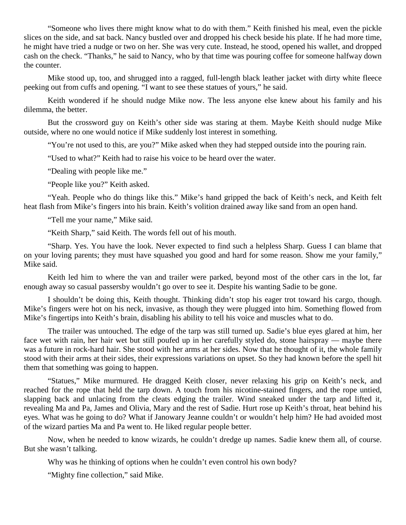"Someone who lives there might know what to do with them." Keith finished his meal, even the pickle slices on the side, and sat back. Nancy bustled over and dropped his check beside his plate. If he had more time, he might have tried a nudge or two on her. She was very cute. Instead, he stood, opened his wallet, and dropped cash on the check. "Thanks," he said to Nancy, who by that time was pouring coffee for someone halfway down the counter.

Mike stood up, too, and shrugged into a ragged, full-length black leather jacket with dirty white fleece peeking out from cuffs and opening. "I want to see these statues of yours," he said.

Keith wondered if he should nudge Mike now. The less anyone else knew about his family and his dilemma, the better.

But the crossword guy on Keith's other side was staring at them. Maybe Keith should nudge Mike outside, where no one would notice if Mike suddenly lost interest in something.

"You're not used to this, are you?" Mike asked when they had stepped outside into the pouring rain.

"Used to what?" Keith had to raise his voice to be heard over the water.

"Dealing with people like me."

"People like you?" Keith asked.

"Yeah. People who do things like this." Mike's hand gripped the back of Keith's neck, and Keith felt heat flash from Mike's fingers into his brain. Keith's volition drained away like sand from an open hand.

"Tell me your name," Mike said.

"Keith Sharp," said Keith. The words fell out of his mouth.

"Sharp. Yes. You have the look. Never expected to find such a helpless Sharp. Guess I can blame that on your loving parents; they must have squashed you good and hard for some reason. Show me your family," Mike said.

Keith led him to where the van and trailer were parked, beyond most of the other cars in the lot, far enough away so casual passersby wouldn't go over to see it. Despite his wanting Sadie to be gone.

I shouldn't be doing this, Keith thought. Thinking didn't stop his eager trot toward his cargo, though. Mike's fingers were hot on his neck, invasive, as though they were plugged into him. Something flowed from Mike's fingertips into Keith's brain, disabling his ability to tell his voice and muscles what to do.

The trailer was untouched. The edge of the tarp was still turned up. Sadie's blue eyes glared at him, her face wet with rain, her hair wet but still poufed up in her carefully styled do, stone hairspray — maybe there was a future in rock-hard hair. She stood with her arms at her sides. Now that he thought of it, the whole family stood with their arms at their sides, their expressions variations on upset. So they had known before the spell hit them that something was going to happen.

"Statues," Mike murmured. He dragged Keith closer, never relaxing his grip on Keith's neck, and reached for the rope that held the tarp down. A touch from his nicotine-stained fingers, and the rope untied, slapping back and unlacing from the cleats edging the trailer. Wind sneaked under the tarp and lifted it, revealing Ma and Pa, James and Olivia, Mary and the rest of Sadie. Hurt rose up Keith's throat, heat behind his eyes. What was he going to do? What if Janowary Jeanne couldn't or wouldn't help him? He had avoided most of the wizard parties Ma and Pa went to. He liked regular people better.

Now, when he needed to know wizards, he couldn't dredge up names. Sadie knew them all, of course. But she wasn't talking.

Why was he thinking of options when he couldn't even control his own body?

"Mighty fine collection," said Mike.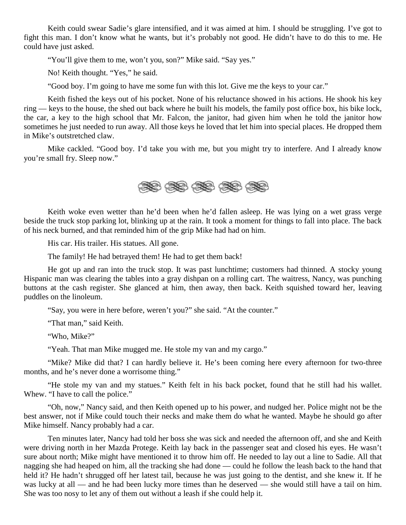Keith could swear Sadie's glare intensified, and it was aimed at him. I should be struggling. I've got to fight this man. I don't know what he wants, but it's probably not good. He didn't have to do this to me. He could have just asked.

"You'll give them to me, won't you, son?" Mike said. "Say yes."

No! Keith thought. "Yes," he said.

"Good boy. I'm going to have me some fun with this lot. Give me the keys to your car."

Keith fished the keys out of his pocket. None of his reluctance showed in his actions. He shook his key ring — keys to the house, the shed out back where he built his models, the family post office box, his bike lock, the car, a key to the high school that Mr. Falcon, the janitor, had given him when he told the janitor how sometimes he just needed to run away. All those keys he loved that let him into special places. He dropped them in Mike's outstretched claw.

Mike cackled. "Good boy. I'd take you with me, but you might try to interfere. And I already know you're small fry. Sleep now."



Keith woke even wetter than he'd been when he'd fallen asleep. He was lying on a wet grass verge beside the truck stop parking lot, blinking up at the rain. It took a moment for things to fall into place. The back of his neck burned, and that reminded him of the grip Mike had had on him.

His car. His trailer. His statues. All gone.

The family! He had betrayed them! He had to get them back!

He got up and ran into the truck stop. It was past lunchtime; customers had thinned. A stocky young Hispanic man was clearing the tables into a gray dishpan on a rolling cart. The waitress, Nancy, was punching buttons at the cash register. She glanced at him, then away, then back. Keith squished toward her, leaving puddles on the linoleum.

"Say, you were in here before, weren't you?" she said. "At the counter."

"That man," said Keith.

"Who, Mike?"

"Yeah. That man Mike mugged me. He stole my van and my cargo."

"Mike? Mike did that? I can hardly believe it. He's been coming here every afternoon for two-three months, and he's never done a worrisome thing."

"He stole my van and my statues." Keith felt in his back pocket, found that he still had his wallet. Whew. "I have to call the police."

"Oh, now," Nancy said, and then Keith opened up to his power, and nudged her. Police might not be the best answer, not if Mike could touch their necks and make them do what he wanted. Maybe he should go after Mike himself. Nancy probably had a car.

Ten minutes later, Nancy had told her boss she was sick and needed the afternoon off, and she and Keith were driving north in her Mazda Protege. Keith lay back in the passenger seat and closed his eyes. He wasn't sure about north; Mike might have mentioned it to throw him off. He needed to lay out a line to Sadie. All that nagging she had heaped on him, all the tracking she had done — could he follow the leash back to the hand that held it? He hadn't shrugged off her latest tail, because he was just going to the dentist, and she knew it. If he was lucky at all — and he had been lucky more times than he deserved — she would still have a tail on him. She was too nosy to let any of them out without a leash if she could help it.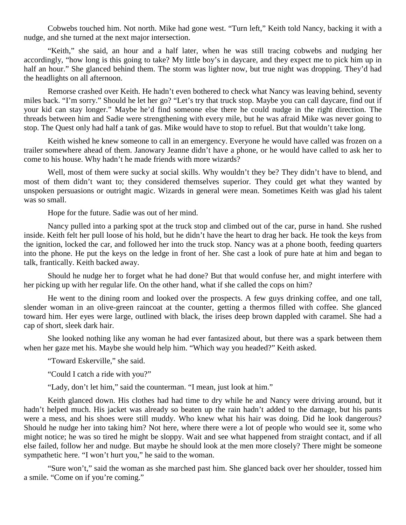Cobwebs touched him. Not north. Mike had gone west. "Turn left," Keith told Nancy, backing it with a nudge, and she turned at the next major intersection.

"Keith," she said, an hour and a half later, when he was still tracing cobwebs and nudging her accordingly, "how long is this going to take? My little boy's in daycare, and they expect me to pick him up in half an hour." She glanced behind them. The storm was lighter now, but true night was dropping. They'd had the headlights on all afternoon.

Remorse crashed over Keith. He hadn't even bothered to check what Nancy was leaving behind, seventy miles back. "I'm sorry." Should he let her go? "Let's try that truck stop. Maybe you can call daycare, find out if your kid can stay longer." Maybe he'd find someone else there he could nudge in the right direction. The threads between him and Sadie were strengthening with every mile, but he was afraid Mike was never going to stop. The Quest only had half a tank of gas. Mike would have to stop to refuel. But that wouldn't take long.

Keith wished he knew someone to call in an emergency. Everyone he would have called was frozen on a trailer somewhere ahead of them. Janowary Jeanne didn't have a phone, or he would have called to ask her to come to his house. Why hadn't he made friends with more wizards?

Well, most of them were sucky at social skills. Why wouldn't they be? They didn't have to blend, and most of them didn't want to; they considered themselves superior. They could get what they wanted by unspoken persuasions or outright magic. Wizards in general were mean. Sometimes Keith was glad his talent was so small.

Hope for the future. Sadie was out of her mind.

Nancy pulled into a parking spot at the truck stop and climbed out of the car, purse in hand. She rushed inside. Keith felt her pull loose of his hold, but he didn't have the heart to drag her back. He took the keys from the ignition, locked the car, and followed her into the truck stop. Nancy was at a phone booth, feeding quarters into the phone. He put the keys on the ledge in front of her. She cast a look of pure hate at him and began to talk, frantically. Keith backed away.

Should he nudge her to forget what he had done? But that would confuse her, and might interfere with her picking up with her regular life. On the other hand, what if she called the cops on him?

He went to the dining room and looked over the prospects. A few guys drinking coffee, and one tall, slender woman in an olive-green raincoat at the counter, getting a thermos filled with coffee. She glanced toward him. Her eyes were large, outlined with black, the irises deep brown dappled with caramel. She had a cap of short, sleek dark hair.

She looked nothing like any woman he had ever fantasized about, but there was a spark between them when her gaze met his. Maybe she would help him. "Which way you headed?" Keith asked.

"Toward Eskerville," she said.

"Could I catch a ride with you?"

"Lady, don't let him," said the counterman. "I mean, just look at him."

Keith glanced down. His clothes had had time to dry while he and Nancy were driving around, but it hadn't helped much. His jacket was already so beaten up the rain hadn't added to the damage, but his pants were a mess, and his shoes were still muddy. Who knew what his hair was doing. Did he look dangerous? Should he nudge her into taking him? Not here, where there were a lot of people who would see it, some who might notice; he was so tired he might be sloppy. Wait and see what happened from straight contact, and if all else failed, follow her and nudge. But maybe he should look at the men more closely? There might be someone sympathetic here. "I won't hurt you," he said to the woman.

"Sure won't," said the woman as she marched past him. She glanced back over her shoulder, tossed him a smile. "Come on if you're coming."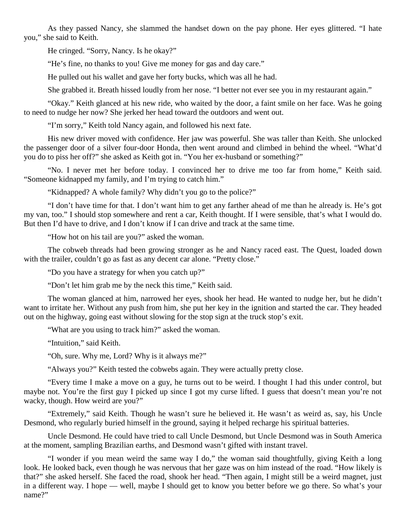As they passed Nancy, she slammed the handset down on the pay phone. Her eyes glittered. "I hate you," she said to Keith.

He cringed. "Sorry, Nancy. Is he okay?"

"He's fine, no thanks to you! Give me money for gas and day care."

He pulled out his wallet and gave her forty bucks, which was all he had.

She grabbed it. Breath hissed loudly from her nose. "I better not ever see you in my restaurant again."

"Okay." Keith glanced at his new ride, who waited by the door, a faint smile on her face. Was he going to need to nudge her now? She jerked her head toward the outdoors and went out.

"I'm sorry," Keith told Nancy again, and followed his next fate.

His new driver moved with confidence. Her jaw was powerful. She was taller than Keith. She unlocked the passenger door of a silver four-door Honda, then went around and climbed in behind the wheel. "What'd you do to piss her off?" she asked as Keith got in. "You her ex-husband or something?"

"No. I never met her before today. I convinced her to drive me too far from home," Keith said. "Someone kidnapped my family, and I'm trying to catch him."

"Kidnapped? A whole family? Why didn't you go to the police?"

"I don't have time for that. I don't want him to get any farther ahead of me than he already is. He's got my van, too." I should stop somewhere and rent a car, Keith thought. If I were sensible, that's what I would do. But then I'd have to drive, and I don't know if I can drive and track at the same time.

"How hot on his tail are you?" asked the woman.

The cobweb threads had been growing stronger as he and Nancy raced east. The Quest, loaded down with the trailer, couldn't go as fast as any decent car alone. "Pretty close."

"Do you have a strategy for when you catch up?"

"Don't let him grab me by the neck this time," Keith said.

The woman glanced at him, narrowed her eyes, shook her head. He wanted to nudge her, but he didn't want to irritate her. Without any push from him, she put her key in the ignition and started the car. They headed out on the highway, going east without slowing for the stop sign at the truck stop's exit.

"What are you using to track him?" asked the woman.

"Intuition," said Keith.

"Oh, sure. Why me, Lord? Why is it always me?"

"Always you?" Keith tested the cobwebs again. They were actually pretty close.

"Every time I make a move on a guy, he turns out to be weird. I thought I had this under control, but maybe not. You're the first guy I picked up since I got my curse lifted. I guess that doesn't mean you're not wacky, though. How weird are you?"

"Extremely," said Keith. Though he wasn't sure he believed it. He wasn't as weird as, say, his Uncle Desmond, who regularly buried himself in the ground, saying it helped recharge his spiritual batteries.

Uncle Desmond. He could have tried to call Uncle Desmond, but Uncle Desmond was in South America at the moment, sampling Brazilian earths, and Desmond wasn't gifted with instant travel.

"I wonder if you mean weird the same way I do," the woman said thoughtfully, giving Keith a long look. He looked back, even though he was nervous that her gaze was on him instead of the road. "How likely is that?" she asked herself. She faced the road, shook her head. "Then again, I might still be a weird magnet, just in a different way. I hope — well, maybe I should get to know you better before we go there. So what's your name?"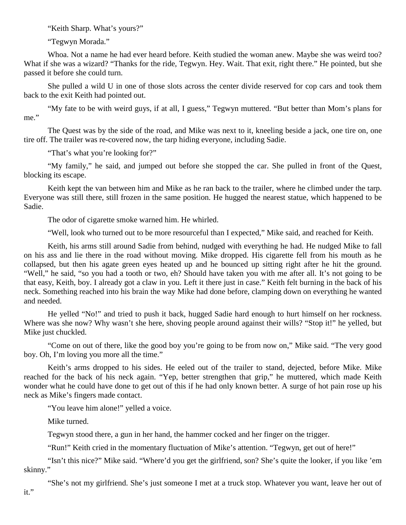"Keith Sharp. What's yours?"

"Tegwyn Morada."

Whoa. Not a name he had ever heard before. Keith studied the woman anew. Maybe she was weird too? What if she was a wizard? "Thanks for the ride, Tegwyn. Hey. Wait. That exit, right there." He pointed, but she passed it before she could turn.

She pulled a wild U in one of those slots across the center divide reserved for cop cars and took them back to the exit Keith had pointed out.

"My fate to be with weird guys, if at all, I guess," Tegwyn muttered. "But better than Mom's plans for me."

The Quest was by the side of the road, and Mike was next to it, kneeling beside a jack, one tire on, one tire off. The trailer was re-covered now, the tarp hiding everyone, including Sadie.

"That's what you're looking for?"

"My family," he said, and jumped out before she stopped the car. She pulled in front of the Quest, blocking its escape.

Keith kept the van between him and Mike as he ran back to the trailer, where he climbed under the tarp. Everyone was still there, still frozen in the same position. He hugged the nearest statue, which happened to be Sadie.

The odor of cigarette smoke warned him. He whirled.

"Well, look who turned out to be more resourceful than I expected," Mike said, and reached for Keith.

Keith, his arms still around Sadie from behind, nudged with everything he had. He nudged Mike to fall on his ass and lie there in the road without moving. Mike dropped. His cigarette fell from his mouth as he collapsed, but then his agate green eyes heated up and he bounced up sitting right after he hit the ground. "Well," he said, "so you had a tooth or two, eh? Should have taken you with me after all. It's not going to be that easy, Keith, boy. I already got a claw in you. Left it there just in case." Keith felt burning in the back of his neck. Something reached into his brain the way Mike had done before, clamping down on everything he wanted and needed.

He yelled "No!" and tried to push it back, hugged Sadie hard enough to hurt himself on her rockness. Where was she now? Why wasn't she here, shoving people around against their wills? "Stop it!" he yelled, but Mike just chuckled.

"Come on out of there, like the good boy you're going to be from now on," Mike said. "The very good boy. Oh, I'm loving you more all the time."

Keith's arms dropped to his sides. He eeled out of the trailer to stand, dejected, before Mike. Mike reached for the back of his neck again. "Yep, better strengthen that grip," he muttered, which made Keith wonder what he could have done to get out of this if he had only known better. A surge of hot pain rose up his neck as Mike's fingers made contact.

"You leave him alone!" yelled a voice.

Mike turned.

Tegwyn stood there, a gun in her hand, the hammer cocked and her finger on the trigger.

"Run!" Keith cried in the momentary fluctuation of Mike's attention. "Tegwyn, get out of here!"

"Isn't this nice?" Mike said. "Where'd you get the girlfriend, son? She's quite the looker, if you like 'em skinny."

"She's not my girlfriend. She's just someone I met at a truck stop. Whatever you want, leave her out of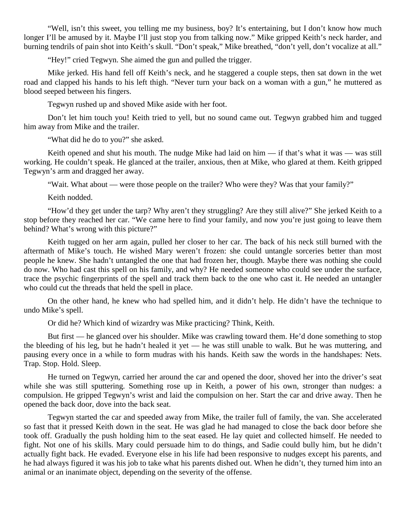"Well, isn't this sweet, you telling me my business, boy? It's entertaining, but I don't know how much longer I'll be amused by it. Maybe I'll just stop you from talking now." Mike gripped Keith's neck harder, and burning tendrils of pain shot into Keith's skull. "Don't speak," Mike breathed, "don't yell, don't vocalize at all."

"Hey!" cried Tegwyn. She aimed the gun and pulled the trigger.

Mike jerked. His hand fell off Keith's neck, and he staggered a couple steps, then sat down in the wet road and clapped his hands to his left thigh. "Never turn your back on a woman with a gun," he muttered as blood seeped between his fingers.

Tegwyn rushed up and shoved Mike aside with her foot.

Don't let him touch you! Keith tried to yell, but no sound came out. Tegwyn grabbed him and tugged him away from Mike and the trailer.

"What did he do to you?" she asked.

Keith opened and shut his mouth. The nudge Mike had laid on him — if that's what it was — was still working. He couldn't speak. He glanced at the trailer, anxious, then at Mike, who glared at them. Keith gripped Tegwyn's arm and dragged her away.

"Wait. What about — were those people on the trailer? Who were they? Was that your family?"

Keith nodded.

"How'd they get under the tarp? Why aren't they struggling? Are they still alive?" She jerked Keith to a stop before they reached her car. "We came here to find your family, and now you're just going to leave them behind? What's wrong with this picture?"

Keith tugged on her arm again, pulled her closer to her car. The back of his neck still burned with the aftermath of Mike's touch. He wished Mary weren't frozen: she could untangle sorceries better than most people he knew. She hadn't untangled the one that had frozen her, though. Maybe there was nothing she could do now. Who had cast this spell on his family, and why? He needed someone who could see under the surface, trace the psychic fingerprints of the spell and track them back to the one who cast it. He needed an untangler who could cut the threads that held the spell in place.

On the other hand, he knew who had spelled him, and it didn't help. He didn't have the technique to undo Mike's spell.

Or did he? Which kind of wizardry was Mike practicing? Think, Keith.

But first — he glanced over his shoulder. Mike was crawling toward them. He'd done something to stop the bleeding of his leg, but he hadn't healed it yet — he was still unable to walk. But he was muttering, and pausing every once in a while to form mudras with his hands. Keith saw the words in the handshapes: Nets. Trap. Stop. Hold. Sleep.

He turned on Tegwyn, carried her around the car and opened the door, shoved her into the driver's seat while she was still sputtering. Something rose up in Keith, a power of his own, stronger than nudges: a compulsion. He gripped Tegwyn's wrist and laid the compulsion on her. Start the car and drive away. Then he opened the back door, dove into the back seat.

Tegwyn started the car and speeded away from Mike, the trailer full of family, the van. She accelerated so fast that it pressed Keith down in the seat. He was glad he had managed to close the back door before she took off. Gradually the push holding him to the seat eased. He lay quiet and collected himself. He needed to fight. Not one of his skills. Mary could persuade him to do things, and Sadie could bully him, but he didn't actually fight back. He evaded. Everyone else in his life had been responsive to nudges except his parents, and he had always figured it was his job to take what his parents dished out. When he didn't, they turned him into an animal or an inanimate object, depending on the severity of the offense.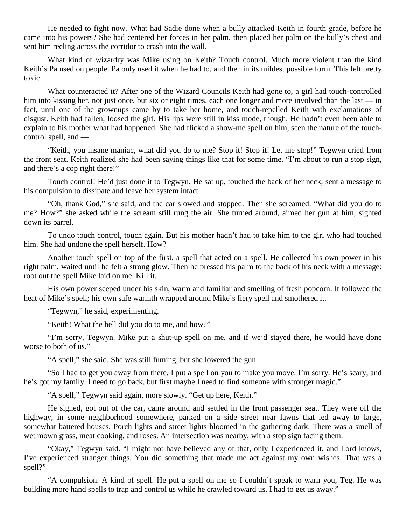He needed to fight now. What had Sadie done when a bully attacked Keith in fourth grade, before he came into his powers? She had centered her forces in her palm, then placed her palm on the bully's chest and sent him reeling across the corridor to crash into the wall.

What kind of wizardry was Mike using on Keith? Touch control. Much more violent than the kind Keith's Pa used on people. Pa only used it when he had to, and then in its mildest possible form. This felt pretty toxic.

What counteracted it? After one of the Wizard Councils Keith had gone to, a girl had touch-controlled him into kissing her, not just once, but six or eight times, each one longer and more involved than the last — in fact, until one of the grownups came by to take her home, and touch-repelled Keith with exclamations of disgust. Keith had fallen, loosed the girl. His lips were still in kiss mode, though. He hadn't even been able to explain to his mother what had happened. She had flicked a show-me spell on him, seen the nature of the touchcontrol spell, and —

"Keith, you insane maniac, what did you do to me? Stop it! Stop it! Let me stop!" Tegwyn cried from the front seat. Keith realized she had been saying things like that for some time. "I'm about to run a stop sign, and there's a cop right there!"

Touch control! He'd just done it to Tegwyn. He sat up, touched the back of her neck, sent a message to his compulsion to dissipate and leave her system intact.

"Oh, thank God," she said, and the car slowed and stopped. Then she screamed. "What did you do to me? How?" she asked while the scream still rung the air. She turned around, aimed her gun at him, sighted down its barrel.

To undo touch control, touch again. But his mother hadn't had to take him to the girl who had touched him. She had undone the spell herself. How?

Another touch spell on top of the first, a spell that acted on a spell. He collected his own power in his right palm, waited until he felt a strong glow. Then he pressed his palm to the back of his neck with a message: root out the spell Mike laid on me. Kill it.

His own power seeped under his skin, warm and familiar and smelling of fresh popcorn. It followed the heat of Mike's spell; his own safe warmth wrapped around Mike's fiery spell and smothered it.

"Tegwyn," he said, experimenting.

"Keith! What the hell did you do to me, and how?"

"I'm sorry, Tegwyn. Mike put a shut-up spell on me, and if we'd stayed there, he would have done worse to both of us."

"A spell," she said. She was still fuming, but she lowered the gun.

"So I had to get you away from there. I put a spell on you to make you move. I'm sorry. He's scary, and he's got my family. I need to go back, but first maybe I need to find someone with stronger magic."

"A spell," Tegwyn said again, more slowly. "Get up here, Keith."

He sighed, got out of the car, came around and settled in the front passenger seat. They were off the highway, in some neighborhood somewhere, parked on a side street near lawns that led away to large, somewhat battered houses. Porch lights and street lights bloomed in the gathering dark. There was a smell of wet mown grass, meat cooking, and roses. An intersection was nearby, with a stop sign facing them.

"Okay," Tegwyn said. "I might not have believed any of that, only I experienced it, and Lord knows, I've experienced stranger things. You did something that made me act against my own wishes. That was a spell?"

"A compulsion. A kind of spell. He put a spell on me so I couldn't speak to warn you, Teg. He was building more hand spells to trap and control us while he crawled toward us. I had to get us away."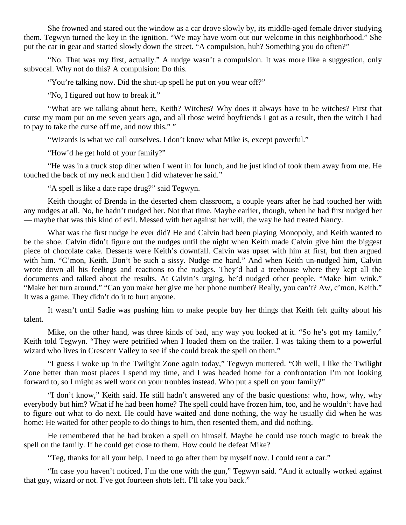She frowned and stared out the window as a car drove slowly by, its middle-aged female driver studying them. Tegwyn turned the key in the ignition. "We may have worn out our welcome in this neighborhood." She put the car in gear and started slowly down the street. "A compulsion, huh? Something you do often?"

"No. That was my first, actually." A nudge wasn't a compulsion. It was more like a suggestion, only subvocal. Why not do this? A compulsion: Do this.

"You're talking now. Did the shut-up spell he put on you wear off?"

"No, I figured out how to break it."

"What are we talking about here, Keith? Witches? Why does it always have to be witches? First that curse my mom put on me seven years ago, and all those weird boyfriends I got as a result, then the witch I had to pay to take the curse off me, and now this." "

"Wizards is what we call ourselves. I don't know what Mike is, except powerful."

"How'd he get hold of your family?"

"He was in a truck stop diner when I went in for lunch, and he just kind of took them away from me. He touched the back of my neck and then I did whatever he said."

"A spell is like a date rape drug?" said Tegwyn.

Keith thought of Brenda in the deserted chem classroom, a couple years after he had touched her with any nudges at all. No, he hadn't nudged her. Not that time. Maybe earlier, though, when he had first nudged her — maybe that was this kind of evil. Messed with her against her will, the way he had treated Nancy.

What was the first nudge he ever did? He and Calvin had been playing Monopoly, and Keith wanted to be the shoe. Calvin didn't figure out the nudges until the night when Keith made Calvin give him the biggest piece of chocolate cake. Desserts were Keith's downfall. Calvin was upset with him at first, but then argued with him. "C'mon, Keith. Don't be such a sissy. Nudge me hard." And when Keith un-nudged him, Calvin wrote down all his feelings and reactions to the nudges. They'd had a treehouse where they kept all the documents and talked about the results. At Calvin's urging, he'd nudged other people. "Make him wink." "Make her turn around." "Can you make her give me her phone number? Really, you can't? Aw, c'mon, Keith." It was a game. They didn't do it to hurt anyone.

It wasn't until Sadie was pushing him to make people buy her things that Keith felt guilty about his talent.

Mike, on the other hand, was three kinds of bad, any way you looked at it. "So he's got my family," Keith told Tegwyn. "They were petrified when I loaded them on the trailer. I was taking them to a powerful wizard who lives in Crescent Valley to see if she could break the spell on them."

"I guess I woke up in the Twilight Zone again today," Tegwyn muttered. "Oh well, I like the Twilight Zone better than most places I spend my time, and I was headed home for a confrontation I'm not looking forward to, so I might as well work on your troubles instead. Who put a spell on your family?"

"I don't know," Keith said. He still hadn't answered any of the basic questions: who, how, why, why everybody but him? What if he had been home? The spell could have frozen him, too, and he wouldn't have had to figure out what to do next. He could have waited and done nothing, the way he usually did when he was home: He waited for other people to do things to him, then resented them, and did nothing.

He remembered that he had broken a spell on himself. Maybe he could use touch magic to break the spell on the family. If he could get close to them. How could he defeat Mike?

"Teg, thanks for all your help. I need to go after them by myself now. I could rent a car."

"In case you haven't noticed, I'm the one with the gun," Tegwyn said. "And it actually worked against that guy, wizard or not. I've got fourteen shots left. I'll take you back."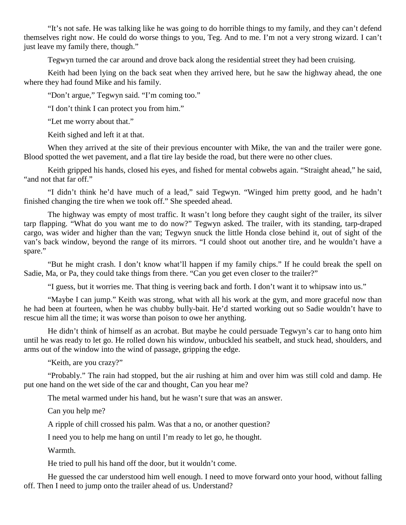"It's not safe. He was talking like he was going to do horrible things to my family, and they can't defend themselves right now. He could do worse things to you, Teg. And to me. I'm not a very strong wizard. I can't just leave my family there, though."

Tegwyn turned the car around and drove back along the residential street they had been cruising.

Keith had been lying on the back seat when they arrived here, but he saw the highway ahead, the one where they had found Mike and his family.

"Don't argue," Tegwyn said. "I'm coming too."

"I don't think I can protect you from him."

"Let me worry about that."

Keith sighed and left it at that.

When they arrived at the site of their previous encounter with Mike, the van and the trailer were gone. Blood spotted the wet pavement, and a flat tire lay beside the road, but there were no other clues.

Keith gripped his hands, closed his eyes, and fished for mental cobwebs again. "Straight ahead," he said, "and not that far off."

"I didn't think he'd have much of a lead," said Tegwyn. "Winged him pretty good, and he hadn't finished changing the tire when we took off." She speeded ahead.

The highway was empty of most traffic. It wasn't long before they caught sight of the trailer, its silver tarp flapping. "What do you want me to do now?" Tegwyn asked. The trailer, with its standing, tarp-draped cargo, was wider and higher than the van; Tegwyn snuck the little Honda close behind it, out of sight of the van's back window, beyond the range of its mirrors. "I could shoot out another tire, and he wouldn't have a spare."

"But he might crash. I don't know what'll happen if my family chips." If he could break the spell on Sadie, Ma, or Pa, they could take things from there. "Can you get even closer to the trailer?"

"I guess, but it worries me. That thing is veering back and forth. I don't want it to whipsaw into us."

"Maybe I can jump." Keith was strong, what with all his work at the gym, and more graceful now than he had been at fourteen, when he was chubby bully-bait. He'd started working out so Sadie wouldn't have to rescue him all the time; it was worse than poison to owe her anything.

He didn't think of himself as an acrobat. But maybe he could persuade Tegwyn's car to hang onto him until he was ready to let go. He rolled down his window, unbuckled his seatbelt, and stuck head, shoulders, and arms out of the window into the wind of passage, gripping the edge.

"Keith, are you crazy?"

"Probably." The rain had stopped, but the air rushing at him and over him was still cold and damp. He put one hand on the wet side of the car and thought, Can you hear me?

The metal warmed under his hand, but he wasn't sure that was an answer.

Can you help me?

A ripple of chill crossed his palm. Was that a no, or another question?

I need you to help me hang on until I'm ready to let go, he thought.

Warmth.

He tried to pull his hand off the door, but it wouldn't come.

He guessed the car understood him well enough. I need to move forward onto your hood, without falling off. Then I need to jump onto the trailer ahead of us. Understand?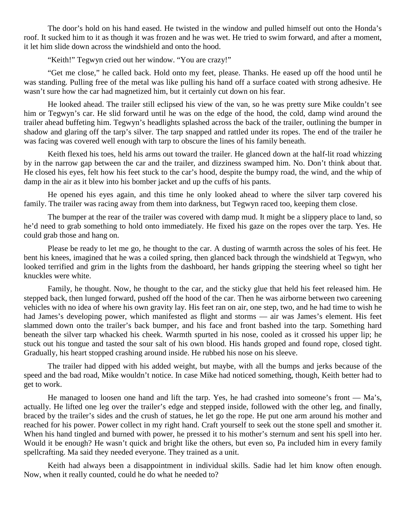The door's hold on his hand eased. He twisted in the window and pulled himself out onto the Honda's roof. It sucked him to it as though it was frozen and he was wet. He tried to swim forward, and after a moment, it let him slide down across the windshield and onto the hood.

"Keith!" Tegwyn cried out her window. "You are crazy!"

"Get me close," he called back. Hold onto my feet, please. Thanks. He eased up off the hood until he was standing. Pulling free of the metal was like pulling his hand off a surface coated with strong adhesive. He wasn't sure how the car had magnetized him, but it certainly cut down on his fear.

He looked ahead. The trailer still eclipsed his view of the van, so he was pretty sure Mike couldn't see him or Tegwyn's car. He slid forward until he was on the edge of the hood, the cold, damp wind around the trailer ahead buffeting him. Tegwyn's headlights splashed across the back of the trailer, outlining the bumper in shadow and glaring off the tarp's silver. The tarp snapped and rattled under its ropes. The end of the trailer he was facing was covered well enough with tarp to obscure the lines of his family beneath.

Keith flexed his toes, held his arms out toward the trailer. He glanced down at the half-lit road whizzing by in the narrow gap between the car and the trailer, and dizziness swamped him. No. Don't think about that. He closed his eyes, felt how his feet stuck to the car's hood, despite the bumpy road, the wind, and the whip of damp in the air as it blew into his bomber jacket and up the cuffs of his pants.

He opened his eyes again, and this time he only looked ahead to where the silver tarp covered his family. The trailer was racing away from them into darkness, but Tegwyn raced too, keeping them close.

The bumper at the rear of the trailer was covered with damp mud. It might be a slippery place to land, so he'd need to grab something to hold onto immediately. He fixed his gaze on the ropes over the tarp. Yes. He could grab those and hang on.

Please be ready to let me go, he thought to the car. A dusting of warmth across the soles of his feet. He bent his knees, imagined that he was a coiled spring, then glanced back through the windshield at Tegwyn, who looked terrified and grim in the lights from the dashboard, her hands gripping the steering wheel so tight her knuckles were white.

Family, he thought. Now, he thought to the car, and the sticky glue that held his feet released him. He stepped back, then lunged forward, pushed off the hood of the car. Then he was airborne between two careening vehicles with no idea of where his own gravity lay. His feet ran on air, one step, two, and he had time to wish he had James's developing power, which manifested as flight and storms — air was James's element. His feet slammed down onto the trailer's back bumper, and his face and front bashed into the tarp. Something hard beneath the silver tarp whacked his cheek. Warmth spurted in his nose, cooled as it crossed his upper lip; he stuck out his tongue and tasted the sour salt of his own blood. His hands groped and found rope, closed tight. Gradually, his heart stopped crashing around inside. He rubbed his nose on his sleeve.

The trailer had dipped with his added weight, but maybe, with all the bumps and jerks because of the speed and the bad road, Mike wouldn't notice. In case Mike had noticed something, though, Keith better had to get to work.

He managed to loosen one hand and lift the tarp. Yes, he had crashed into someone's front — Ma's, actually. He lifted one leg over the trailer's edge and stepped inside, followed with the other leg, and finally, braced by the trailer's sides and the crush of statues, he let go the rope. He put one arm around his mother and reached for his power. Power collect in my right hand. Craft yourself to seek out the stone spell and smother it. When his hand tingled and burned with power, he pressed it to his mother's sternum and sent his spell into her. Would it be enough? He wasn't quick and bright like the others, but even so, Pa included him in every family spellcrafting. Ma said they needed everyone. They trained as a unit.

Keith had always been a disappointment in individual skills. Sadie had let him know often enough. Now, when it really counted, could he do what he needed to?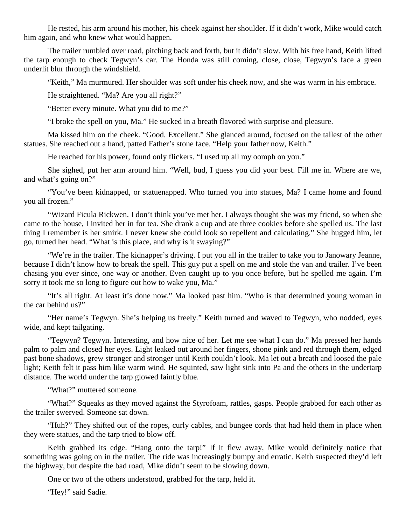He rested, his arm around his mother, his cheek against her shoulder. If it didn't work, Mike would catch him again, and who knew what would happen.

The trailer rumbled over road, pitching back and forth, but it didn't slow. With his free hand, Keith lifted the tarp enough to check Tegwyn's car. The Honda was still coming, close, close, Tegwyn's face a green underlit blur through the windshield.

"Keith," Ma murmured. Her shoulder was soft under his cheek now, and she was warm in his embrace.

He straightened. "Ma? Are you all right?"

"Better every minute. What you did to me?"

"I broke the spell on you, Ma." He sucked in a breath flavored with surprise and pleasure.

Ma kissed him on the cheek. "Good. Excellent." She glanced around, focused on the tallest of the other statues. She reached out a hand, patted Father's stone face. "Help your father now, Keith."

He reached for his power, found only flickers. "I used up all my oomph on you."

She sighed, put her arm around him. "Well, bud, I guess you did your best. Fill me in. Where are we, and what's going on?"

"You've been kidnapped, or statuenapped. Who turned you into statues, Ma? I came home and found you all frozen."

"Wizard Ficula Rickwen. I don't think you've met her. I always thought she was my friend, so when she came to the house, I invited her in for tea. She drank a cup and ate three cookies before she spelled us. The last thing I remember is her smirk. I never knew she could look so repellent and calculating." She hugged him, let go, turned her head. "What is this place, and why is it swaying?"

"We're in the trailer. The kidnapper's driving. I put you all in the trailer to take you to Janowary Jeanne, because I didn't know how to break the spell. This guy put a spell on me and stole the van and trailer. I've been chasing you ever since, one way or another. Even caught up to you once before, but he spelled me again. I'm sorry it took me so long to figure out how to wake you, Ma."

"It's all right. At least it's done now." Ma looked past him. "Who is that determined young woman in the car behind  $\text{us} \gamma$ "

"Her name's Tegwyn. She's helping us freely." Keith turned and waved to Tegwyn, who nodded, eyes wide, and kept tailgating.

"Tegwyn? Tegwyn. Interesting, and how nice of her. Let me see what I can do." Ma pressed her hands palm to palm and closed her eyes. Light leaked out around her fingers, shone pink and red through them, edged past bone shadows, grew stronger and stronger until Keith couldn't look. Ma let out a breath and loosed the pale light; Keith felt it pass him like warm wind. He squinted, saw light sink into Pa and the others in the undertarp distance. The world under the tarp glowed faintly blue.

"What?" muttered someone.

"What?" Squeaks as they moved against the Styrofoam, rattles, gasps. People grabbed for each other as the trailer swerved. Someone sat down.

"Huh?" They shifted out of the ropes, curly cables, and bungee cords that had held them in place when they were statues, and the tarp tried to blow off.

Keith grabbed its edge. "Hang onto the tarp!" If it flew away, Mike would definitely notice that something was going on in the trailer. The ride was increasingly bumpy and erratic. Keith suspected they'd left the highway, but despite the bad road, Mike didn't seem to be slowing down.

One or two of the others understood, grabbed for the tarp, held it.

"Hey!" said Sadie.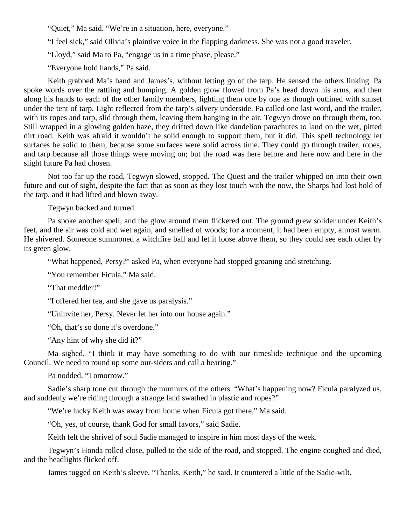"Quiet," Ma said. "We're in a situation, here, everyone."

"I feel sick," said Olivia's plaintive voice in the flapping darkness. She was not a good traveler.

"Lloyd," said Ma to Pa, "engage us in a time phase, please."

"Everyone hold hands," Pa said.

Keith grabbed Ma's hand and James's, without letting go of the tarp. He sensed the others linking. Pa spoke words over the rattling and bumping. A golden glow flowed from Pa's head down his arms, and then along his hands to each of the other family members, lighting them one by one as though outlined with sunset under the tent of tarp. Light reflected from the tarp's silvery underside. Pa called one last word, and the trailer, with its ropes and tarp, slid through them, leaving them hanging in the air. Tegwyn drove on through them, too. Still wrapped in a glowing golden haze, they drifted down like dandelion parachutes to land on the wet, pitted dirt road. Keith was afraid it wouldn't be solid enough to support them, but it did. This spell technology let surfaces be solid to them, because some surfaces were solid across time. They could go through trailer, ropes, and tarp because all those things were moving on; but the road was here before and here now and here in the slight future Pa had chosen.

Not too far up the road, Tegwyn slowed, stopped. The Quest and the trailer whipped on into their own future and out of sight, despite the fact that as soon as they lost touch with the now, the Sharps had lost hold of the tarp, and it had lifted and blown away.

Tegwyn backed and turned.

Pa spoke another spell, and the glow around them flickered out. The ground grew solider under Keith's feet, and the air was cold and wet again, and smelled of woods; for a moment, it had been empty, almost warm. He shivered. Someone summoned a witchfire ball and let it loose above them, so they could see each other by its green glow.

"What happened, Persy?" asked Pa, when everyone had stopped groaning and stretching.

"You remember Ficula," Ma said.

"That meddler!"

"I offered her tea, and she gave us paralysis."

"Uninvite her, Persy. Never let her into our house again."

"Oh, that's so done it's overdone."

"Any hint of why she did it?"

Ma sighed. "I think it may have something to do with our timeslide technique and the upcoming Council. We need to round up some our-siders and call a hearing."

Pa nodded. "Tomorrow."

Sadie's sharp tone cut through the murmurs of the others. "What's happening now? Ficula paralyzed us, and suddenly we're riding through a strange land swathed in plastic and ropes?"

"We're lucky Keith was away from home when Ficula got there," Ma said.

"Oh, yes, of course, thank God for small favors," said Sadie.

Keith felt the shrivel of soul Sadie managed to inspire in him most days of the week.

Tegwyn's Honda rolled close, pulled to the side of the road, and stopped. The engine coughed and died, and the headlights flicked off.

James tugged on Keith's sleeve. "Thanks, Keith," he said. It countered a little of the Sadie-wilt.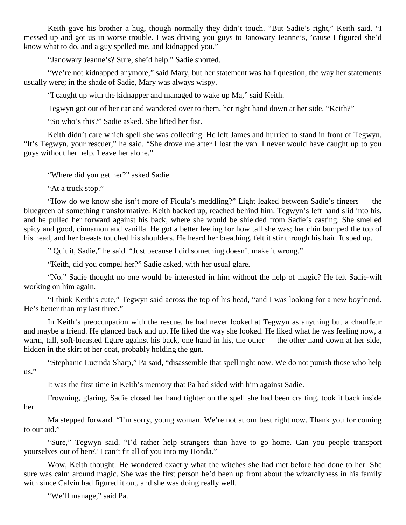Keith gave his brother a hug, though normally they didn't touch. "But Sadie's right," Keith said. "I messed up and got us in worse trouble. I was driving you guys to Janowary Jeanne's, 'cause I figured she'd know what to do, and a guy spelled me, and kidnapped you."

"Janowary Jeanne's? Sure, she'd help." Sadie snorted.

"We're not kidnapped anymore," said Mary, but her statement was half question, the way her statements usually were; in the shade of Sadie, Mary was always wispy.

"I caught up with the kidnapper and managed to wake up Ma," said Keith.

Tegwyn got out of her car and wandered over to them, her right hand down at her side. "Keith?"

"So who's this?" Sadie asked. She lifted her fist.

Keith didn't care which spell she was collecting. He left James and hurried to stand in front of Tegwyn. "It's Tegwyn, your rescuer," he said. "She drove me after I lost the van. I never would have caught up to you guys without her help. Leave her alone."

"Where did you get her?" asked Sadie.

"At a truck stop."

"How do we know she isn't more of Ficula's meddling?" Light leaked between Sadie's fingers — the bluegreen of something transformative. Keith backed up, reached behind him. Tegwyn's left hand slid into his, and he pulled her forward against his back, where she would be shielded from Sadie's casting. She smelled spicy and good, cinnamon and vanilla. He got a better feeling for how tall she was; her chin bumped the top of his head, and her breasts touched his shoulders. He heard her breathing, felt it stir through his hair. It sped up.

" Quit it, Sadie," he said. "Just because I did something doesn't make it wrong."

"Keith, did you compel her?" Sadie asked, with her usual glare.

"No." Sadie thought no one would be interested in him without the help of magic? He felt Sadie-wilt working on him again.

"I think Keith's cute," Tegwyn said across the top of his head, "and I was looking for a new boyfriend. He's better than my last three."

In Keith's preoccupation with the rescue, he had never looked at Tegwyn as anything but a chauffeur and maybe a friend. He glanced back and up. He liked the way she looked. He liked what he was feeling now, a warm, tall, soft-breasted figure against his back, one hand in his, the other — the other hand down at her side, hidden in the skirt of her coat, probably holding the gun.

"Stephanie Lucinda Sharp," Pa said, "disassemble that spell right now. We do not punish those who help us."

It was the first time in Keith's memory that Pa had sided with him against Sadie.

Frowning, glaring, Sadie closed her hand tighter on the spell she had been crafting, took it back inside her.

Ma stepped forward. "I'm sorry, young woman. We're not at our best right now. Thank you for coming to our aid."

"Sure," Tegwyn said. "I'd rather help strangers than have to go home. Can you people transport yourselves out of here? I can't fit all of you into my Honda."

Wow, Keith thought. He wondered exactly what the witches she had met before had done to her. She sure was calm around magic. She was the first person he'd been up front about the wizardlyness in his family with since Calvin had figured it out, and she was doing really well.

"We'll manage," said Pa.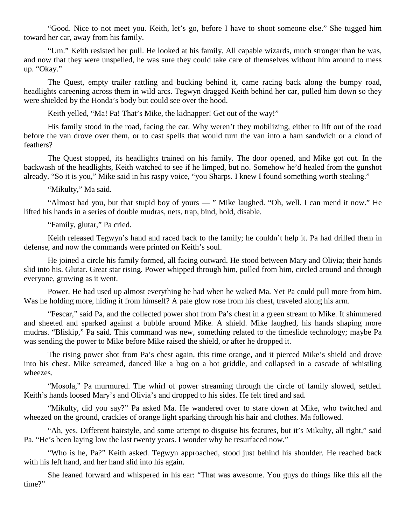"Good. Nice to not meet you. Keith, let's go, before I have to shoot someone else." She tugged him toward her car, away from his family.

"Um." Keith resisted her pull. He looked at his family. All capable wizards, much stronger than he was, and now that they were unspelled, he was sure they could take care of themselves without him around to mess up. "Okay."

The Quest, empty trailer rattling and bucking behind it, came racing back along the bumpy road, headlights careening across them in wild arcs. Tegwyn dragged Keith behind her car, pulled him down so they were shielded by the Honda's body but could see over the hood.

Keith yelled, "Ma! Pa! That's Mike, the kidnapper! Get out of the way!"

His family stood in the road, facing the car. Why weren't they mobilizing, either to lift out of the road before the van drove over them, or to cast spells that would turn the van into a ham sandwich or a cloud of feathers?

The Quest stopped, its headlights trained on his family. The door opened, and Mike got out. In the backwash of the headlights, Keith watched to see if he limped, but no. Somehow he'd healed from the gunshot already. "So it is you," Mike said in his raspy voice, "you Sharps. I knew I found something worth stealing."

"Mikulty," Ma said.

"Almost had you, but that stupid boy of yours — " Mike laughed. "Oh, well. I can mend it now." He lifted his hands in a series of double mudras, nets, trap, bind, hold, disable.

"Family, glutar," Pa cried.

Keith released Tegwyn's hand and raced back to the family; he couldn't help it. Pa had drilled them in defense, and now the commands were printed on Keith's soul.

He joined a circle his family formed, all facing outward. He stood between Mary and Olivia; their hands slid into his. Glutar. Great star rising. Power whipped through him, pulled from him, circled around and through everyone, growing as it went.

Power. He had used up almost everything he had when he waked Ma. Yet Pa could pull more from him. Was he holding more, hiding it from himself? A pale glow rose from his chest, traveled along his arm.

"Fescar," said Pa, and the collected power shot from Pa's chest in a green stream to Mike. It shimmered and sheeted and sparked against a bubble around Mike. A shield. Mike laughed, his hands shaping more mudras. "Bliskip," Pa said. This command was new, something related to the timeslide technology; maybe Pa was sending the power to Mike before Mike raised the shield, or after he dropped it.

The rising power shot from Pa's chest again, this time orange, and it pierced Mike's shield and drove into his chest. Mike screamed, danced like a bug on a hot griddle, and collapsed in a cascade of whistling wheezes.

"Mosola," Pa murmured. The whirl of power streaming through the circle of family slowed, settled. Keith's hands loosed Mary's and Olivia's and dropped to his sides. He felt tired and sad.

"Mikulty, did you say?" Pa asked Ma. He wandered over to stare down at Mike, who twitched and wheezed on the ground, crackles of orange light sparking through his hair and clothes. Ma followed.

"Ah, yes. Different hairstyle, and some attempt to disguise his features, but it's Mikulty, all right," said Pa. "He's been laying low the last twenty years. I wonder why he resurfaced now."

"Who is he, Pa?" Keith asked. Tegwyn approached, stood just behind his shoulder. He reached back with his left hand, and her hand slid into his again.

She leaned forward and whispered in his ear: "That was awesome. You guys do things like this all the time?"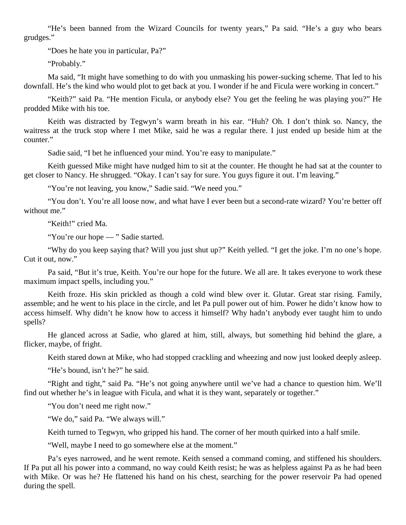"He's been banned from the Wizard Councils for twenty years," Pa said. "He's a guy who bears grudges."

"Does he hate you in particular, Pa?"

"Probably."

Ma said, "It might have something to do with you unmasking his power-sucking scheme. That led to his downfall. He's the kind who would plot to get back at you. I wonder if he and Ficula were working in concert."

"Keith?" said Pa. "He mention Ficula, or anybody else? You get the feeling he was playing you?" He prodded Mike with his toe.

Keith was distracted by Tegwyn's warm breath in his ear. "Huh? Oh. I don't think so. Nancy, the waitress at the truck stop where I met Mike, said he was a regular there. I just ended up beside him at the counter."

Sadie said, "I bet he influenced your mind. You're easy to manipulate."

Keith guessed Mike might have nudged him to sit at the counter. He thought he had sat at the counter to get closer to Nancy. He shrugged. "Okay. I can't say for sure. You guys figure it out. I'm leaving."

"You're not leaving, you know," Sadie said. "We need you."

"You don't. You're all loose now, and what have I ever been but a second-rate wizard? You're better off without me."

"Keith!" cried Ma.

"You're our hope — "Sadie started.

"Why do you keep saying that? Will you just shut up?" Keith yelled. "I get the joke. I'm no one's hope. Cut it out, now."

Pa said, "But it's true, Keith. You're our hope for the future. We all are. It takes everyone to work these maximum impact spells, including you."

Keith froze. His skin prickled as though a cold wind blew over it. Glutar. Great star rising. Family, assemble; and he went to his place in the circle, and let Pa pull power out of him. Power he didn't know how to access himself. Why didn't he know how to access it himself? Why hadn't anybody ever taught him to undo spells?

He glanced across at Sadie, who glared at him, still, always, but something hid behind the glare, a flicker, maybe, of fright.

Keith stared down at Mike, who had stopped crackling and wheezing and now just looked deeply asleep.

"He's bound, isn't he?" he said.

"Right and tight," said Pa. "He's not going anywhere until we've had a chance to question him. We'll find out whether he's in league with Ficula, and what it is they want, separately or together."

"You don't need me right now."

"We do," said Pa. "We always will."

Keith turned to Tegwyn, who gripped his hand. The corner of her mouth quirked into a half smile.

"Well, maybe I need to go somewhere else at the moment."

Pa's eyes narrowed, and he went remote. Keith sensed a command coming, and stiffened his shoulders. If Pa put all his power into a command, no way could Keith resist; he was as helpless against Pa as he had been with Mike. Or was he? He flattened his hand on his chest, searching for the power reservoir Pa had opened during the spell.